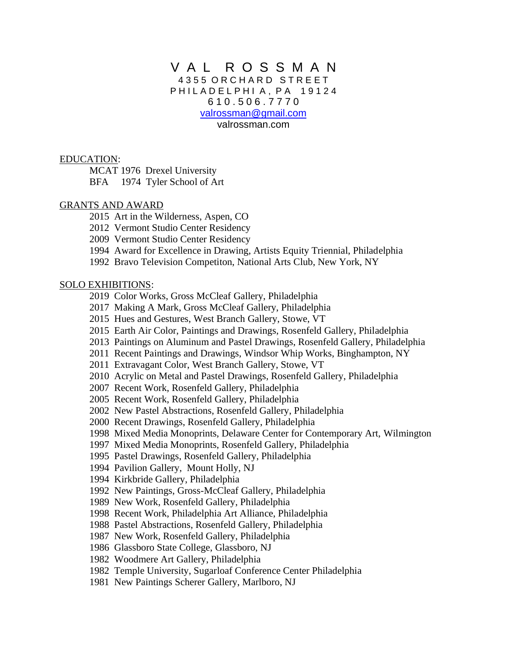# V A L R O S S M A N 4 3 5 5 O R C H A R D S T R E E T PHILAD ELPHIA, PA 19124 6 1 0 . 5 0 6 . 7 7 7 0 [valrossman@gmail.com](mailto:artrun@hotmail.com) valrossman.com

EDUCATION:

MCAT 1976 Drexel University BFA 1974 Tyler School of Art

## GRANTS AND AWARD

- 2015 Art in the Wilderness, Aspen, CO
- 2012 Vermont Studio Center Residency
- 2009 Vermont Studio Center Residency
- 1994 Award for Excellence in Drawing, Artists Equity Triennial, Philadelphia
- 1992 Bravo Television Competiton, National Arts Club, New York, NY

### SOLO EXHIBITIONS:

- 2019 Color Works, Gross McCleaf Gallery, Philadelphia
- 2017 Making A Mark, Gross McCleaf Gallery, Philadelphia
- 2015 Hues and Gestures, West Branch Gallery, Stowe, VT
- 2015 Earth Air Color, Paintings and Drawings, Rosenfeld Gallery, Philadelphia
- 2013 Paintings on Aluminum and Pastel Drawings, Rosenfeld Gallery, Philadelphia
- 2011 Recent Paintings and Drawings, Windsor Whip Works, Binghampton, NY
- 2011 Extravagant Color, West Branch Gallery, Stowe, VT
- 2010 Acrylic on Metal and Pastel Drawings, Rosenfeld Gallery, Philadelphia
- 2007 Recent Work, Rosenfeld Gallery, Philadelphia
- 2005 Recent Work, Rosenfeld Gallery, Philadelphia
- 2002 New Pastel Abstractions, Rosenfeld Gallery, Philadelphia
- 2000 Recent Drawings, Rosenfeld Gallery, Philadelphia
- 1998 Mixed Media Monoprints, Delaware Center for Contemporary Art, Wilmington
- 1997 Mixed Media Monoprints, Rosenfeld Gallery, Philadelphia
- 1995 Pastel Drawings, Rosenfeld Gallery, Philadelphia
- 1994 Pavilion Gallery, Mount Holly, NJ
- 1994 Kirkbride Gallery, Philadelphia
- 1992 New Paintings, Gross-McCleaf Gallery, Philadelphia
- 1989 New Work, Rosenfeld Gallery, Philadelphia
- 1998 Recent Work, Philadelphia Art Alliance, Philadelphia
- 1988 Pastel Abstractions, Rosenfeld Gallery, Philadelphia
- 1987 New Work, Rosenfeld Gallery, Philadelphia
- 1986 Glassboro State College, Glassboro, NJ
- 1982 Woodmere Art Gallery, Philadelphia
- 1982 Temple University, Sugarloaf Conference Center Philadelphia
- 1981 New Paintings Scherer Gallery, Marlboro, NJ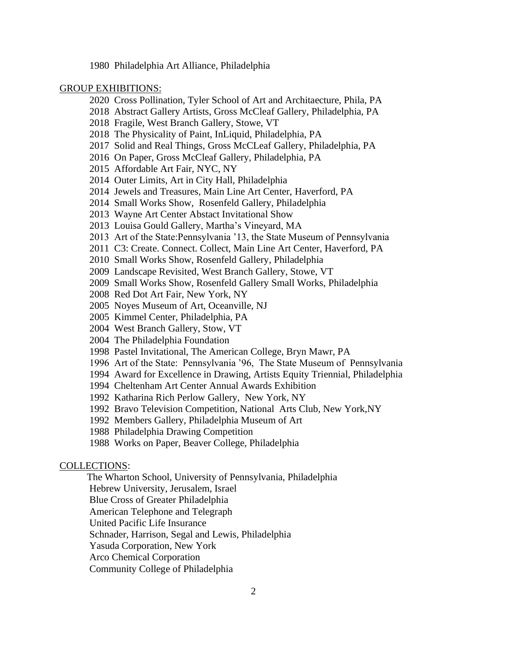1980 Philadelphia Art Alliance, Philadelphia

#### GROUP EXHIBITIONS:

- 2020 Cross Pollination, Tyler School of Art and Architaecture, Phila, PA
- 2018 Abstract Gallery Artists, Gross McCleaf Gallery, Philadelphia, PA
- 2018 Fragile, West Branch Gallery, Stowe, VT
- 2018 The Physicality of Paint, InLiquid, Philadelphia, PA
- 2017 Solid and Real Things, Gross McCLeaf Gallery, Philadelphia, PA
- 2016 On Paper, Gross McCleaf Gallery, Philadelphia, PA
- 2015 Affordable Art Fair, NYC, NY
- 2014 Outer Limits, Art in City Hall, Philadelphia
- 2014 Jewels and Treasures, Main Line Art Center, Haverford, PA
- 2014 Small Works Show, Rosenfeld Gallery, Philadelphia
- 2013 Wayne Art Center Abstact Invitational Show
- 2013 Louisa Gould Gallery, Martha's Vineyard, MA
- 2013 Art of the State:Pennsylvania '13, the State Museum of Pennsylvania
- 2011 C3: Create. Connect. Collect, Main Line Art Center, Haverford, PA
- 2010 Small Works Show, Rosenfeld Gallery, Philadelphia
- 2009 Landscape Revisited, West Branch Gallery, Stowe, VT
- 2009 Small Works Show, Rosenfeld Gallery Small Works, Philadelphia
- 2008 Red Dot Art Fair, New York, NY
- 2005 Noyes Museum of Art, Oceanville, NJ
- 2005 Kimmel Center, Philadelphia, PA
- 2004 West Branch Gallery, Stow, VT
- 2004 The Philadelphia Foundation
- 1998 Pastel Invitational, The American College, Bryn Mawr, PA
- 1996 Art of the State: Pennsylvania '96, The State Museum of Pennsylvania
- 1994 Award for Excellence in Drawing, Artists Equity Triennial, Philadelphia
- 1994 Cheltenham Art Center Annual Awards Exhibition
- 1992 Katharina Rich Perlow Gallery, New York, NY
- 1992 Bravo Television Competition, National Arts Club, New York,NY
- 1992 Members Gallery, Philadelphia Museum of Art
- 1988 Philadelphia Drawing Competition
- 1988 Works on Paper, Beaver College, Philadelphia

## COLLECTIONS:

The Wharton School, University of Pennsylvania, Philadelphia

Hebrew University, Jerusalem, Israel

Blue Cross of Greater Philadelphia

American Telephone and Telegraph

United Pacific Life Insurance

Schnader, Harrison, Segal and Lewis, Philadelphia

Yasuda Corporation, New York

Arco Chemical Corporation

Community College of Philadelphia